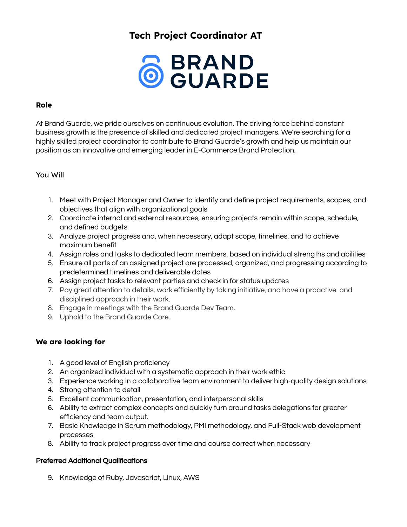# **Tech Project Coordinator AT**



## **Role**

At Brand Guarde, we pride ourselves on continuous evolution. The driving force behind constant business growth is the presence of skilled and dedicated project managers. We're searching for a highly skilled project coordinator to contribute to Brand Guarde's growth and help us maintain our position as an innovative and emerging leader in E-Commerce Brand Protection.

### You Will

- 1. Meet with Project Manager and Owner to identify and define project requirements, scopes, and objectives that align with organizational goals
- 2. Coordinate internal and external resources, ensuring projects remain within scope, schedule, and defined budgets
- 3. Analyze project progress and, when necessary, adapt scope, timelines, and to achieve maximum benefit
- 4. Assign roles and tasks to dedicated team members, based on individual strengths and abilities
- 5. Ensure all parts of an assigned project are processed, organized, and progressing according to predetermined timelines and deliverable dates
- 6. Assign project tasks to relevant parties and check in for status updates
- 7. Pay great attention to details, work efficiently by taking initiative, and have a proactive and disciplined approach in their work.
- 8. Engage in meetings with the Brand Guarde Dev Team.
- 9. Uphold to the Brand Guarde Core.

# **We are looking for**

- 1. A good level of English proficiency
- 2. An organized individual with a systematic approach in their work ethic
- 3. Experience working in a collaborative team environment to deliver high-quality design solutions
- 4. Strong attention to detail
- 5. Excellent communication, presentation, and interpersonal skills
- 6. Ability to extract complex concepts and quickly turn around tasks delegations for greater efficiency and team output.
- 7. Basic Knowledge in Scrum methodology, PMI methodology, and Full-Stack web development processes
- 8. Ability to track project progress over time and course correct when necessary

#### Preferred Additional Qualifications

9. Knowledge of Ruby, Javascript, Linux, AWS